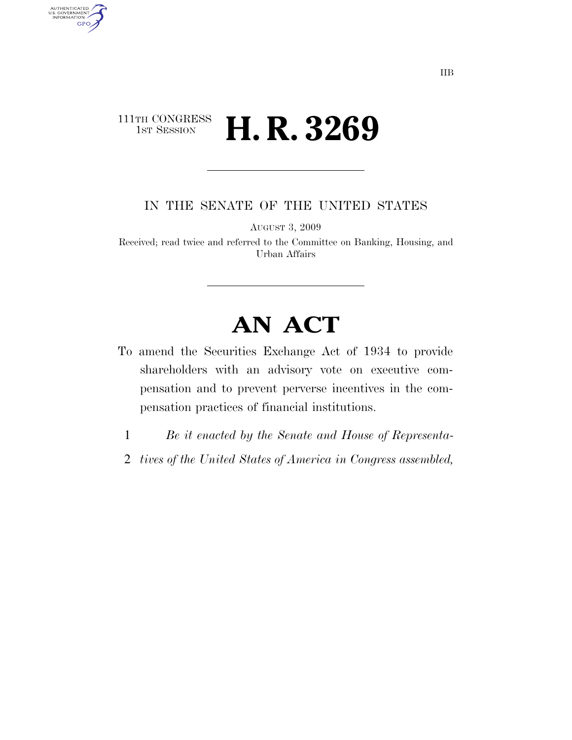### 111TH CONGRESS<br>1st Session H. R. 3269

AUTHENTICATED<br>U.S. GOVERNMENT<br>INFORMATION GPO

IN THE SENATE OF THE UNITED STATES

AUGUST 3, 2009

Received; read twice and referred to the Committee on Banking, Housing, and Urban Affairs

# **AN ACT**

- To amend the Securities Exchange Act of 1934 to provide shareholders with an advisory vote on executive compensation and to prevent perverse incentives in the compensation practices of financial institutions.
	- 1 *Be it enacted by the Senate and House of Representa-*
- 2 *tives of the United States of America in Congress assembled,*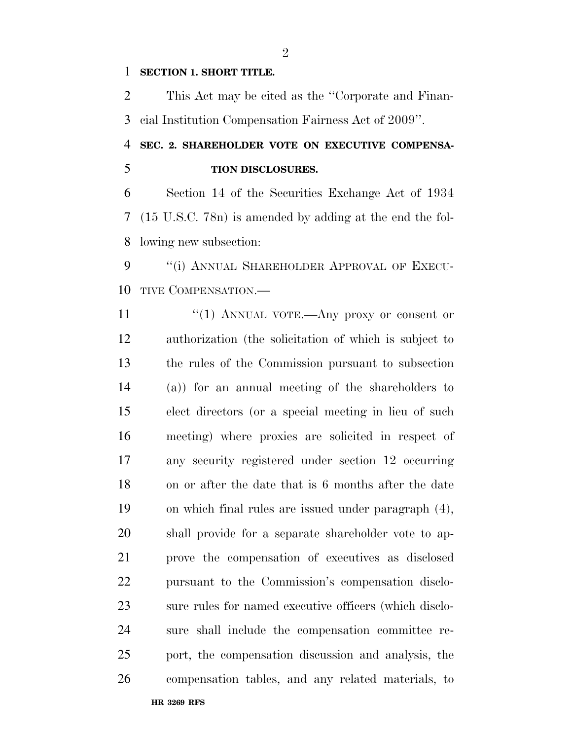### **SECTION 1. SHORT TITLE.**

 This Act may be cited as the ''Corporate and Finan-cial Institution Compensation Fairness Act of 2009''.

## **SEC. 2. SHAREHOLDER VOTE ON EXECUTIVE COMPENSA-TION DISCLOSURES.**

 Section 14 of the Securities Exchange Act of 1934 (15 U.S.C. 78n) is amended by adding at the end the fol-lowing new subsection:

9 "(i) ANNUAL SHAREHOLDER APPROVAL OF EXECU-TIVE COMPENSATION.—

11 "(1) ANNUAL VOTE.—Any proxy or consent or authorization (the solicitation of which is subject to the rules of the Commission pursuant to subsection (a)) for an annual meeting of the shareholders to elect directors (or a special meeting in lieu of such meeting) where proxies are solicited in respect of any security registered under section 12 occurring on or after the date that is 6 months after the date on which final rules are issued under paragraph (4), shall provide for a separate shareholder vote to ap- prove the compensation of executives as disclosed pursuant to the Commission's compensation disclo- sure rules for named executive officers (which disclo- sure shall include the compensation committee re- port, the compensation discussion and analysis, the compensation tables, and any related materials, to

**HR 3269 RFS**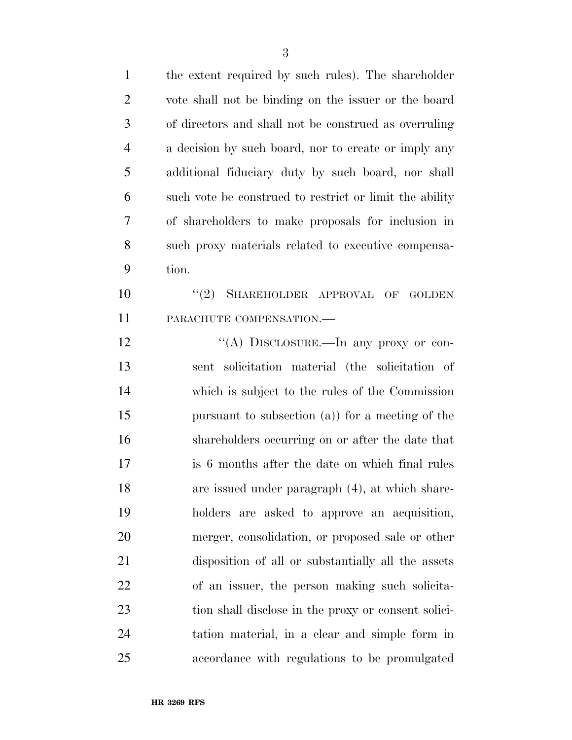the extent required by such rules). The shareholder vote shall not be binding on the issuer or the board of directors and shall not be construed as overruling a decision by such board, nor to create or imply any additional fiduciary duty by such board, nor shall such vote be construed to restrict or limit the ability of shareholders to make proposals for inclusion in such proxy materials related to executive compensa- tion. 10 "(2) SHAREHOLDER APPROVAL OF GOLDEN PARACHUTE COMPENSATION.— 12 "(A) DISCLOSURE.—In any proxy or con- sent solicitation material (the solicitation of which is subject to the rules of the Commission pursuant to subsection (a)) for a meeting of the shareholders occurring on or after the date that is 6 months after the date on which final rules are issued under paragraph (4), at which share- holders are asked to approve an acquisition, merger, consolidation, or proposed sale or other disposition of all or substantially all the assets of an issuer, the person making such solicita- tion shall disclose in the proxy or consent solici- tation material, in a clear and simple form in accordance with regulations to be promulgated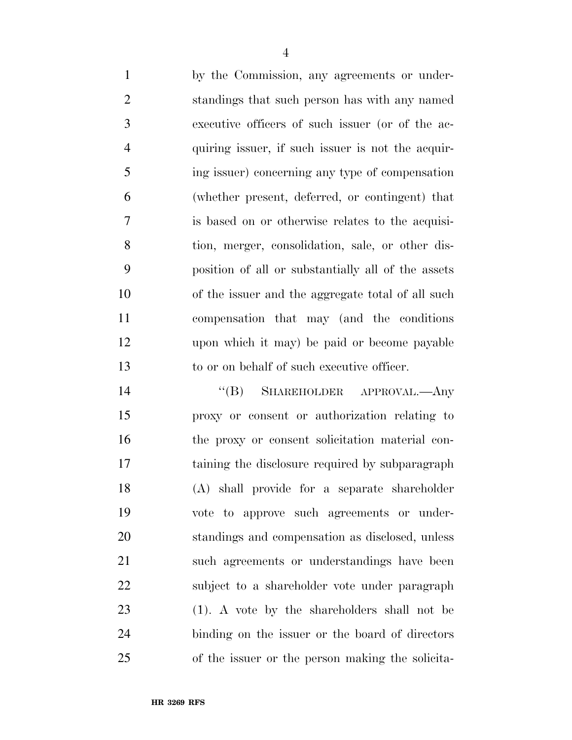| $\mathbf{1}$   | by the Commission, any agreements or under-        |
|----------------|----------------------------------------------------|
| 2              | standings that such person has with any named      |
| 3              | executive officers of such issuer (or of the ac-   |
| $\overline{4}$ | quiring issuer, if such issuer is not the acquir-  |
| 5              | ing issuer) concerning any type of compensation    |
| 6              | (whether present, deferred, or contingent) that    |
| 7              | is based on or otherwise relates to the acquisi-   |
| 8              | tion, merger, consolidation, sale, or other dis-   |
| 9              | position of all or substantially all of the assets |
| 10             | of the issuer and the aggregate total of all such  |
| 11             | compensation that may (and the conditions)         |
| 12             | upon which it may) be paid or become payable       |
| 13             | to or on behalf of such executive officer.         |

14 "(B) SHAREHOLDER APPROVAL.—Any proxy or consent or authorization relating to the proxy or consent solicitation material con- taining the disclosure required by subparagraph (A) shall provide for a separate shareholder vote to approve such agreements or under- standings and compensation as disclosed, unless such agreements or understandings have been subject to a shareholder vote under paragraph (1). A vote by the shareholders shall not be binding on the issuer or the board of directors of the issuer or the person making the solicita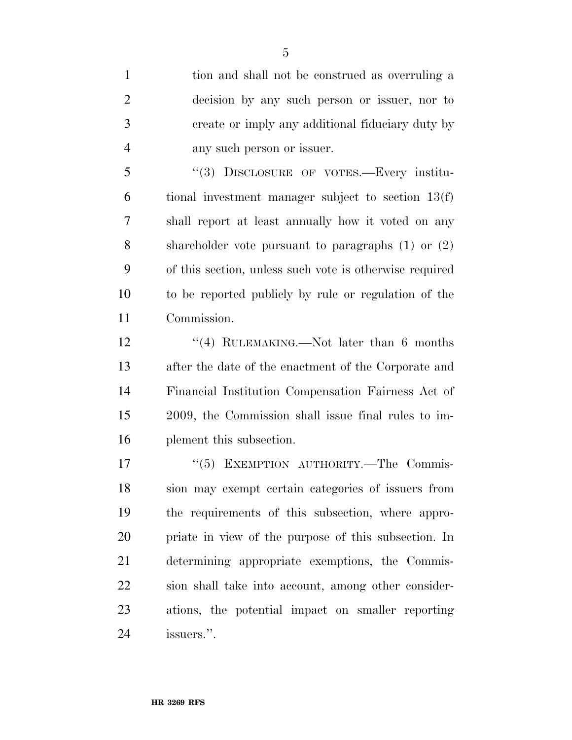tion and shall not be construed as overruling a decision by any such person or issuer, nor to create or imply any additional fiduciary duty by any such person or issuer.

 ''(3) DISCLOSURE OF VOTES.—Every institu- tional investment manager subject to section 13(f) shall report at least annually how it voted on any shareholder vote pursuant to paragraphs (1) or (2) of this section, unless such vote is otherwise required to be reported publicly by rule or regulation of the Commission.

12 ''(4) RULEMAKING.—Not later than 6 months after the date of the enactment of the Corporate and Financial Institution Compensation Fairness Act of 2009, the Commission shall issue final rules to im-plement this subsection.

17 "(5) EXEMPTION AUTHORITY.—The Commis- sion may exempt certain categories of issuers from the requirements of this subsection, where appro- priate in view of the purpose of this subsection. In determining appropriate exemptions, the Commis- sion shall take into account, among other consider- ations, the potential impact on smaller reporting issuers.''.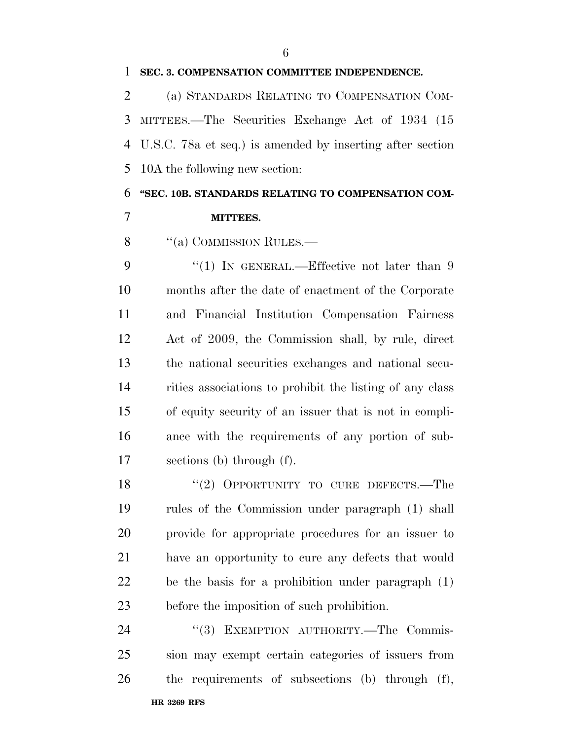#### **SEC. 3. COMPENSATION COMMITTEE INDEPENDENCE.**

 (a) STANDARDS RELATING TO COMPENSATION COM- MITTEES.—The Securities Exchange Act of 1934 (15 U.S.C. 78a et seq.) is amended by inserting after section 10A the following new section:

**''SEC. 10B. STANDARDS RELATING TO COMPENSATION COM-**

### **MITTEES.**

8 "(a) COMMISSION RULES.—

9 "(1) IN GENERAL.—Effective not later than 9 months after the date of enactment of the Corporate and Financial Institution Compensation Fairness Act of 2009, the Commission shall, by rule, direct the national securities exchanges and national secu- rities associations to prohibit the listing of any class of equity security of an issuer that is not in compli- ance with the requirements of any portion of sub-sections (b) through (f).

18 "(2) OPPORTUNITY TO CURE DEFECTS.—The rules of the Commission under paragraph (1) shall provide for appropriate procedures for an issuer to have an opportunity to cure any defects that would be the basis for a prohibition under paragraph (1) before the imposition of such prohibition.

**HR 3269 RFS**  24 "(3) EXEMPTION AUTHORITY.—The Commis- sion may exempt certain categories of issuers from the requirements of subsections (b) through (f),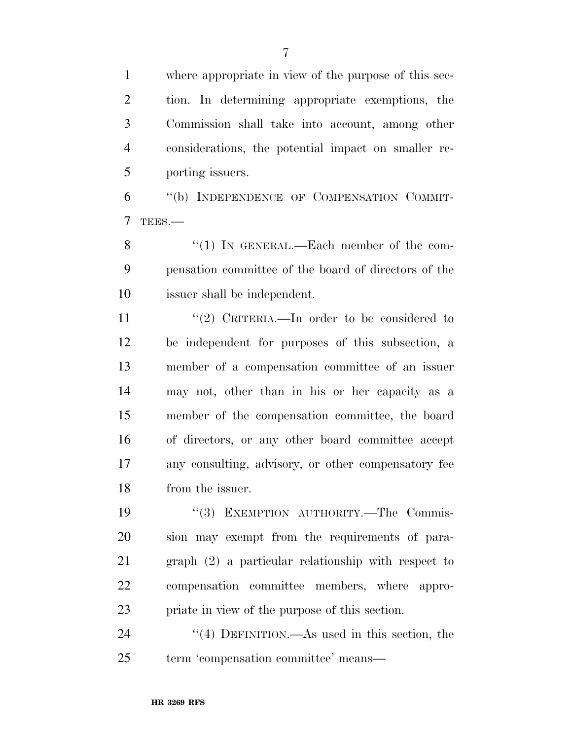where appropriate in view of the purpose of this sec- tion. In determining appropriate exemptions, the Commission shall take into account, among other considerations, the potential impact on smaller re-porting issuers.

 ''(b) INDEPENDENCE OF COMPENSATION COMMIT-TEES.—

8 "(1) In GENERAL.—Each member of the com- pensation committee of the board of directors of the issuer shall be independent.

 $\frac{1}{2}$  CRITERIA.—In order to be considered to be independent for purposes of this subsection, a member of a compensation committee of an issuer may not, other than in his or her capacity as a member of the compensation committee, the board of directors, or any other board committee accept any consulting, advisory, or other compensatory fee from the issuer.

19 "(3) EXEMPTION AUTHORITY.—The Commis- sion may exempt from the requirements of para- graph (2) a particular relationship with respect to compensation committee members, where appro-priate in view of the purpose of this section.

24 "(4) DEFINITION.—As used in this section, the term 'compensation committee' means—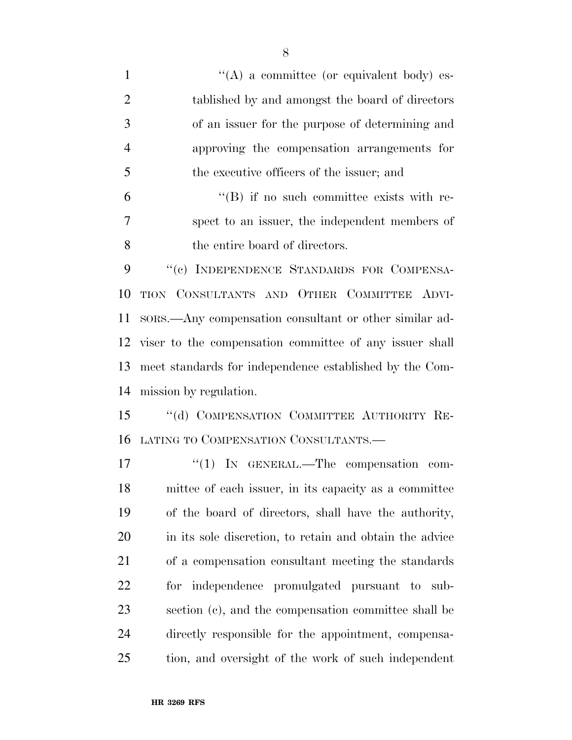| $\mathbf{1}$   | $\lq\lq$ a committee (or equivalent body) es-           |
|----------------|---------------------------------------------------------|
| $\mathfrak{2}$ | tablished by and amongst the board of directors         |
| 3              | of an issuer for the purpose of determining and         |
| $\overline{4}$ | approving the compensation arrangements for             |
| 5              | the executive officers of the issuer; and               |
| 6              | $\lq\lq (B)$ if no such committee exists with re-       |
| 7              | spect to an issuer, the independent members of          |
| 8              | the entire board of directors.                          |
| 9              | "(c) INDEPENDENCE STANDARDS FOR COMPENSA-               |
| 10             | TION CONSULTANTS AND OTHER COMMITTEE ADVI-              |
| 11             | sors.—Any compensation consultant or other similar ad-  |
| 12             | viser to the compensation committee of any issuer shall |
| 13             | meet standards for independence established by the Com- |
| 14             | mission by regulation.                                  |
| 15             | "(d) COMPENSATION COMMITTEE AUTHORITY RE-               |
| 16             | LATING TO COMPENSATION CONSULTANTS.-                    |
| 17             | "(1) IN GENERAL.—The compensation<br>com-               |
| 18             | mittee of each issuer, in its capacity as a committee   |
| 19             | of the board of directors, shall have the authority,    |
| 20             | in its sole discretion, to retain and obtain the advice |
| 21             | of a compensation consultant meeting the standards      |
| 22             | for independence promulgated pursuant to sub-           |
| 23             | section (c), and the compensation committee shall be    |
| 24             | directly responsible for the appointment, compensa-     |
| 25             | tion, and oversight of the work of such independent     |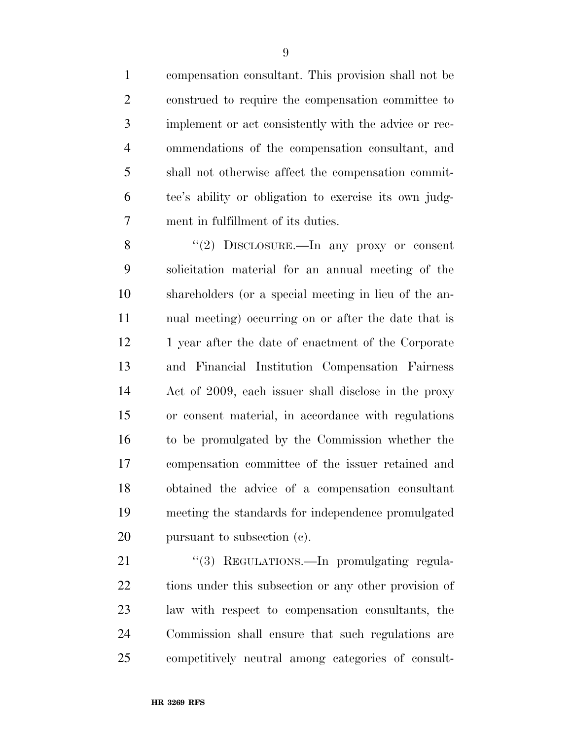compensation consultant. This provision shall not be construed to require the compensation committee to implement or act consistently with the advice or rec- ommendations of the compensation consultant, and shall not otherwise affect the compensation commit- tee's ability or obligation to exercise its own judg-ment in fulfillment of its duties.

8 "(2) DISCLOSURE.—In any proxy or consent solicitation material for an annual meeting of the shareholders (or a special meeting in lieu of the an- nual meeting) occurring on or after the date that is 12 1 year after the date of enactment of the Corporate and Financial Institution Compensation Fairness Act of 2009, each issuer shall disclose in the proxy or consent material, in accordance with regulations to be promulgated by the Commission whether the compensation committee of the issuer retained and obtained the advice of a compensation consultant meeting the standards for independence promulgated pursuant to subsection (c).

21 "(3) REGULATIONS.—In promulgating regula-22 tions under this subsection or any other provision of law with respect to compensation consultants, the Commission shall ensure that such regulations are competitively neutral among categories of consult-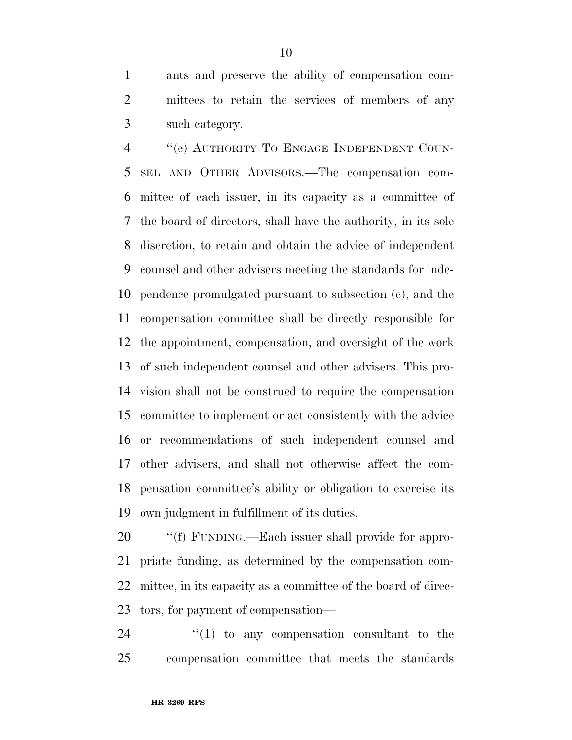ants and preserve the ability of compensation com- mittees to retain the services of members of any such category.

4 "(e) AUTHORITY TO ENGAGE INDEPENDENT COUN- SEL AND OTHER ADVISORS.—The compensation com- mittee of each issuer, in its capacity as a committee of the board of directors, shall have the authority, in its sole discretion, to retain and obtain the advice of independent counsel and other advisers meeting the standards for inde- pendence promulgated pursuant to subsection (c), and the compensation committee shall be directly responsible for the appointment, compensation, and oversight of the work of such independent counsel and other advisers. This pro- vision shall not be construed to require the compensation committee to implement or act consistently with the advice or recommendations of such independent counsel and other advisers, and shall not otherwise affect the com- pensation committee's ability or obligation to exercise its own judgment in fulfillment of its duties.

 $\cdot$  "(f) FUNDING.—Each issuer shall provide for appro- priate funding, as determined by the compensation com- mittee, in its capacity as a committee of the board of direc-tors, for payment of compensation—

  $\qquad$   $\qquad$   $\qquad$   $\qquad$   $\qquad$   $\qquad$   $\qquad$   $\qquad$   $\qquad$   $\qquad$   $\qquad$   $\qquad$   $\qquad$   $\qquad$   $\qquad$   $\qquad$   $\qquad$   $\qquad$   $\qquad$   $\qquad$   $\qquad$   $\qquad$   $\qquad$   $\qquad$   $\qquad$   $\qquad$   $\qquad$   $\qquad$   $\qquad$   $\qquad$   $\qquad$   $\qquad$   $\qquad$   $\qquad$   $\qquad$   $\qquad$  compensation committee that meets the standards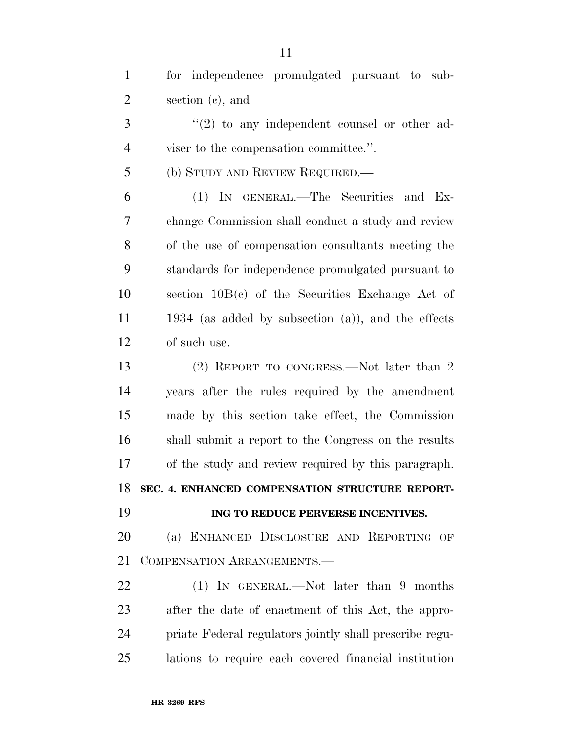| $\mathbf{1}$   | for independence promulgated pursuant to sub-           |
|----------------|---------------------------------------------------------|
| $\overline{2}$ | section $(c)$ , and                                     |
| 3              | $\lq(2)$ to any independent counsel or other ad-        |
| $\overline{4}$ | viser to the compensation committee.".                  |
| 5              | (b) STUDY AND REVIEW REQUIRED.—                         |
| 6              | (1) IN GENERAL.—The Securities and Ex-                  |
| 7              | change Commission shall conduct a study and review      |
| 8              | of the use of compensation consultants meeting the      |
| 9              | standards for independence promulgated pursuant to      |
| 10             | section $10B(c)$ of the Securities Exchange Act of      |
| 11             | 1934 (as added by subsection $(a)$ ), and the effects   |
| 12             | of such use.                                            |
| 13             | (2) REPORT TO CONGRESS.—Not later than 2                |
| 14             | years after the rules required by the amendment         |
| 15             | made by this section take effect, the Commission        |
| 16             | shall submit a report to the Congress on the results    |
| 17             | of the study and review required by this paragraph.     |
| 18             | SEC. 4. ENHANCED COMPENSATION STRUCTURE REPORT-         |
| 19             | ING TO REDUCE PERVERSE INCENTIVES.                      |
| 20             | (a) ENHANCED DISCLOSURE AND REPORTING OF                |
| 21             | COMPENSATION ARRANGEMENTS.-                             |
| 22             | (1) IN GENERAL.—Not later than 9 months                 |
| 23             | after the date of enactment of this Act, the appro-     |
| 24             | priate Federal regulators jointly shall prescribe regu- |
| 25             | lations to require each covered financial institution   |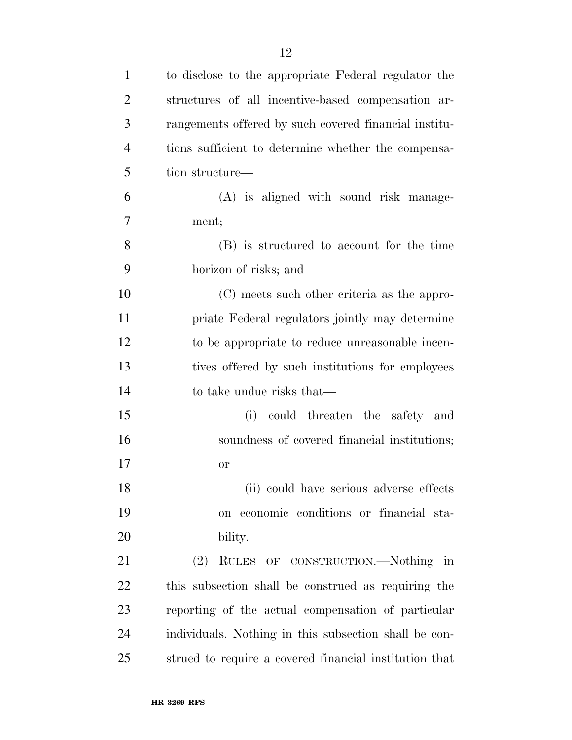| $\mathbf{1}$   | to disclose to the appropriate Federal regulator the   |
|----------------|--------------------------------------------------------|
| $\overline{2}$ | structures of all incentive-based compensation ar-     |
| 3              | rangements offered by such covered financial institu-  |
| $\overline{4}$ | tions sufficient to determine whether the compensa-    |
| 5              | tion structure—                                        |
| 6              | (A) is aligned with sound risk manage-                 |
| 7              | ment;                                                  |
| 8              | (B) is structured to account for the time              |
| 9              | horizon of risks; and                                  |
| 10             | (C) meets such other criteria as the appro-            |
| 11             | priate Federal regulators jointly may determine        |
| 12             | to be appropriate to reduce unreasonable incen-        |
| 13             | tives offered by such institutions for employees       |
| 14             | to take undue risks that—                              |
| 15             | could threaten the safety and<br>(i)                   |
| 16             | soundness of covered financial institutions;           |
| 17             | or                                                     |
| 18             | (ii) could have serious adverse effects                |
| 19             | on economic conditions or financial sta-               |
| 20             | bility.                                                |
| 21             | (2)<br>RULES OF CONSTRUCTION.—Nothing in               |
| 22             | this subsection shall be construed as requiring the    |
| 23             | reporting of the actual compensation of particular     |
| 24             | individuals. Nothing in this subsection shall be con-  |
| 25             | strued to require a covered financial institution that |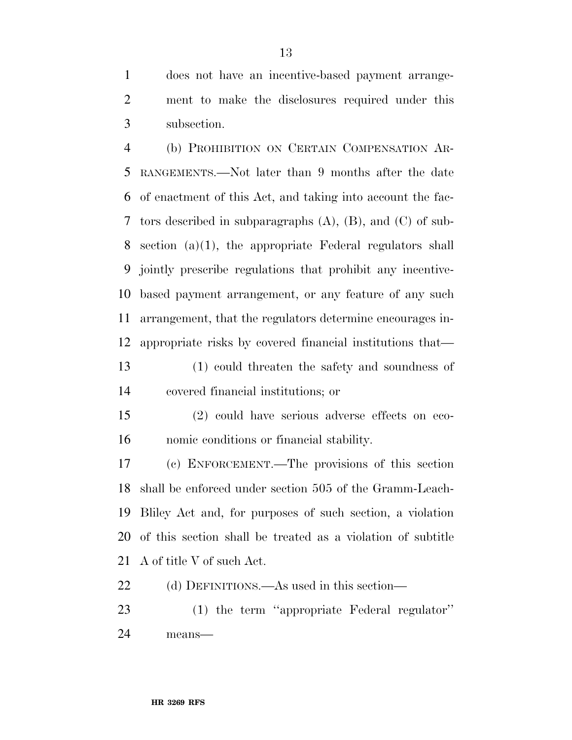does not have an incentive-based payment arrange- ment to make the disclosures required under this subsection.

 (b) PROHIBITION ON CERTAIN COMPENSATION AR- RANGEMENTS.—Not later than 9 months after the date of enactment of this Act, and taking into account the fac- tors described in subparagraphs (A), (B), and (C) of sub- section (a)(1), the appropriate Federal regulators shall jointly prescribe regulations that prohibit any incentive- based payment arrangement, or any feature of any such arrangement, that the regulators determine encourages in-appropriate risks by covered financial institutions that—

 (1) could threaten the safety and soundness of covered financial institutions; or

 (2) could have serious adverse effects on eco-nomic conditions or financial stability.

 (c) ENFORCEMENT.—The provisions of this section shall be enforced under section 505 of the Gramm-Leach- Bliley Act and, for purposes of such section, a violation of this section shall be treated as a violation of subtitle A of title V of such Act.

(d) DEFINITIONS.—As used in this section—

 (1) the term ''appropriate Federal regulator'' means—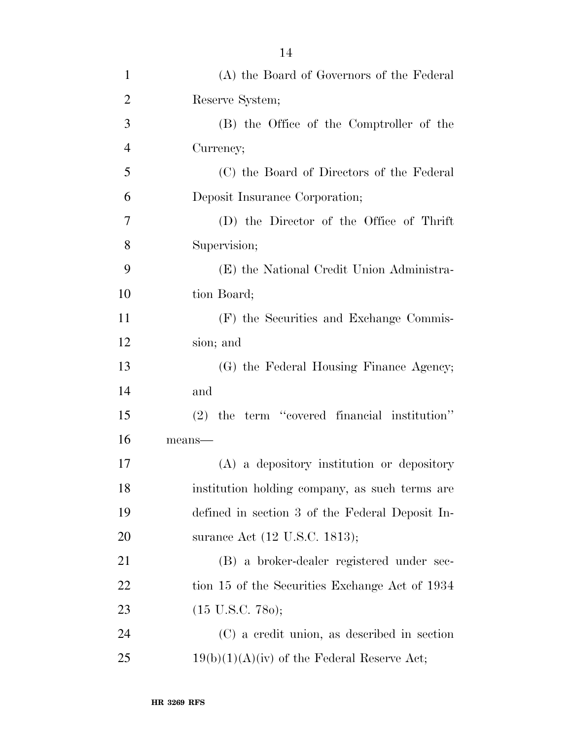| $\mathbf{1}$   | (A) the Board of Governors of the Federal       |
|----------------|-------------------------------------------------|
| $\overline{2}$ | Reserve System;                                 |
| 3              | (B) the Office of the Comptroller of the        |
| $\overline{4}$ | Currency;                                       |
| 5              | (C) the Board of Directors of the Federal       |
| 6              | Deposit Insurance Corporation;                  |
| $\overline{7}$ | (D) the Director of the Office of Thrift        |
| 8              | Supervision;                                    |
| 9              | (E) the National Credit Union Administra-       |
| 10             | tion Board;                                     |
| 11             | (F) the Securities and Exchange Commis-         |
| 12             | sion; and                                       |
| 13             | (G) the Federal Housing Finance Agency;         |
| 14             | and                                             |
| 15             | (2) the term "covered financial institution"    |
| 16             | means-                                          |
| 17             | (A) a depository institution or depository      |
| 18             | institution holding company, as such terms are  |
| 19             | defined in section 3 of the Federal Deposit In- |
| 20             | surance Act (12 U.S.C. 1813);                   |
| 21             | (B) a broker-dealer registered under sec-       |
| 22             | tion 15 of the Securities Exchange Act of 1934  |
| 23             | $(15 \text{ U.S.C. } 780);$                     |
| 24             | (C) a credit union, as described in section     |
| 25             | $19(b)(1)(A)(iv)$ of the Federal Reserve Act;   |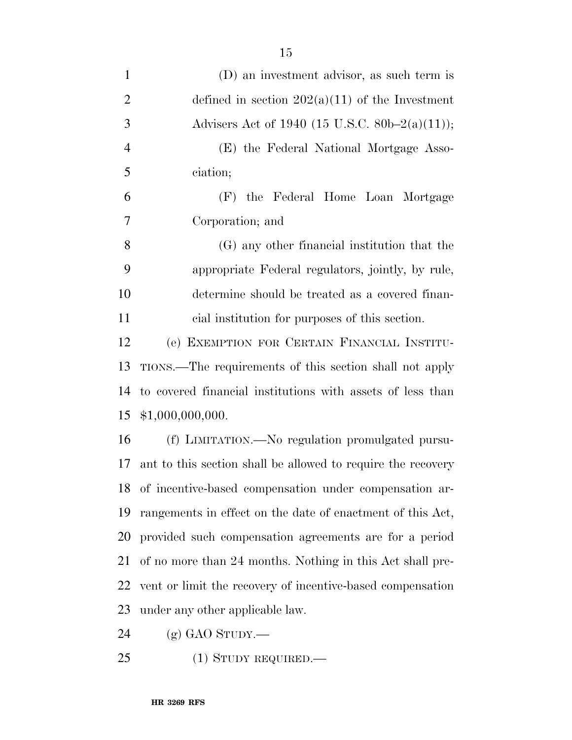| $\mathbf{1}$   | (D) an investment advisor, as such term is                   |
|----------------|--------------------------------------------------------------|
| $\overline{2}$ | defined in section $202(a)(11)$ of the Investment            |
| 3              | Advisers Act of 1940 (15 U.S.C. 80b–2(a)(11));               |
| $\overline{4}$ | (E) the Federal National Mortgage Asso-                      |
| 5              | ciation;                                                     |
| 6              | (F) the Federal Home Loan Mortgage                           |
| $\overline{7}$ | Corporation; and                                             |
| 8              | (G) any other financial institution that the                 |
| 9              | appropriate Federal regulators, jointly, by rule,            |
| 10             | determine should be treated as a covered finan-              |
| 11             | cial institution for purposes of this section.               |
| 12             | (e) EXEMPTION FOR CERTAIN FINANCIAL INSTITU-                 |
| 13             | TIONS.—The requirements of this section shall not apply      |
| 14             | to covered financial institutions with assets of less than   |
| 15             | \$1,000,000,000.                                             |
| 16             | (f) LIMITATION.—No regulation promulgated pursu-             |
| 17             | ant to this section shall be allowed to require the recovery |
|                | 18 of incentive-based compensation under compensation ar-    |
| 19             | rangements in effect on the date of enactment of this Act,   |
| 20             | provided such compensation agreements are for a period       |
| 21             | of no more than 24 months. Nothing in this Act shall pre-    |
| 22             | vent or limit the recovery of incentive-based compensation   |
| 23             | under any other applicable law.                              |
|                |                                                              |

(g) GAO STUDY.—

(1) STUDY REQUIRED.—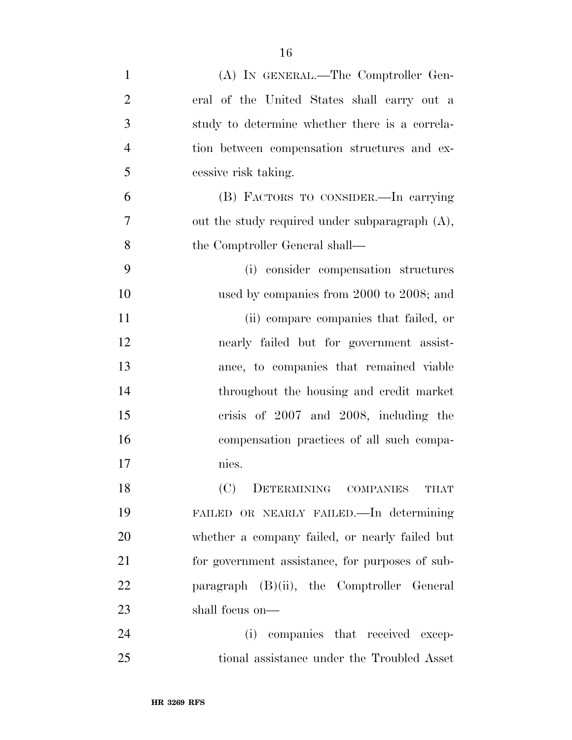| $\mathbf{1}$   | (A) IN GENERAL.—The Comptroller Gen-            |
|----------------|-------------------------------------------------|
| $\overline{2}$ | eral of the United States shall carry out a     |
| 3              | study to determine whether there is a correla-  |
| $\overline{4}$ | tion between compensation structures and ex-    |
| 5              | cessive risk taking.                            |
| 6              | (B) FACTORS TO CONSIDER.—In carrying            |
| $\overline{7}$ | out the study required under subparagraph (A),  |
| 8              | the Comptroller General shall—                  |
| 9              | (i) consider compensation structures            |
| 10             | used by companies from 2000 to 2008; and        |
| 11             | (ii) compare companies that failed, or          |
| 12             | nearly failed but for government assist-        |
| 13             | ance, to companies that remained viable         |
| 14             | throughout the housing and credit market        |
| 15             | crisis of 2007 and 2008, including the          |
| 16             | compensation practices of all such compa-       |
| 17             | nies.                                           |
| 18             | (C)<br>DETERMINING COMPANIES<br>THAT            |
| 19             | FAILED OR NEARLY FAILED. In determining         |
| 20             | whether a company failed, or nearly failed but  |
| 21             | for government assistance, for purposes of sub- |
| 22             | paragraph (B)(ii), the Comptroller General      |
| 23             | shall focus on—                                 |
| 24             | (i) companies that received excep-              |
| 25             | tional assistance under the Troubled Asset      |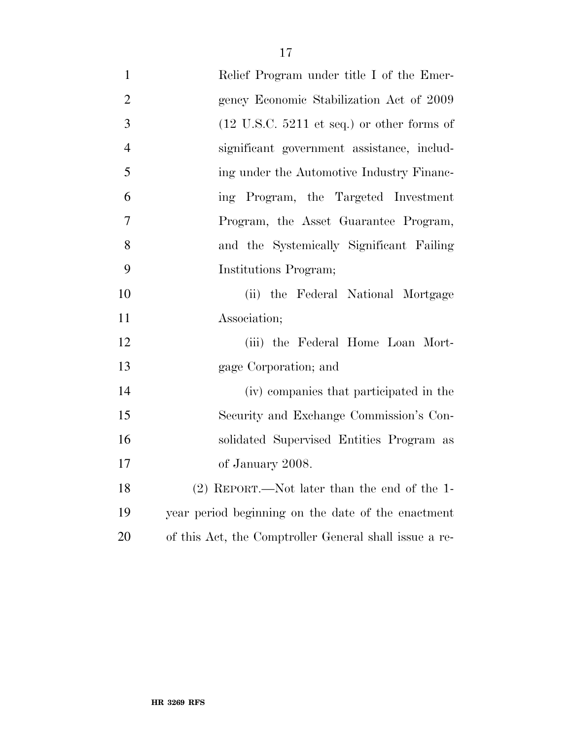| $\mathbf{1}$   | Relief Program under title I of the Emer-                     |
|----------------|---------------------------------------------------------------|
| $\overline{2}$ | gency Economic Stabilization Act of 2009                      |
| 3              | $(12 \text{ U.S.C. } 5211 \text{ et seq.})$ or other forms of |
| $\overline{4}$ | significant government assistance, includ-                    |
| 5              | ing under the Automotive Industry Financ-                     |
| 6              | ing Program, the Targeted Investment                          |
| $\overline{7}$ | Program, the Asset Guarantee Program,                         |
| 8              | and the Systemically Significant Failing                      |
| 9              | Institutions Program;                                         |
| 10             | (ii) the Federal National Mortgage                            |
| 11             | Association;                                                  |
| 12             | (iii) the Federal Home Loan Mort-                             |
| 13             | gage Corporation; and                                         |
| 14             | (iv) companies that participated in the                       |
| 15             | Security and Exchange Commission's Con-                       |
| 16             | solidated Supervised Entities Program as                      |
| 17             | of January 2008.                                              |
| 18             | $(2)$ REPORT.—Not later than the end of the 1-                |
| 19             | year period beginning on the date of the enactment            |
| 20             | of this Act, the Comptroller General shall issue a re-        |